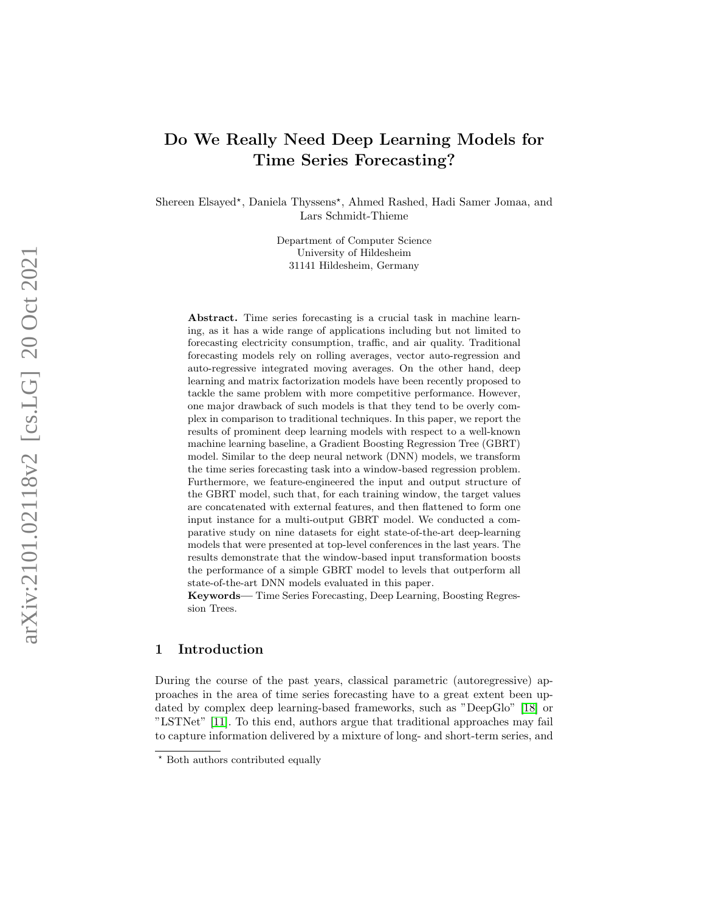# Do We Really Need Deep Learning Models for Time Series Forecasting?

Shereen Elsayed\*, Daniela Thyssens\*, Ahmed Rashed, Hadi Samer Jomaa, and Lars Schmidt-Thieme

> Department of Computer Science University of Hildesheim 31141 Hildesheim, Germany

Abstract. Time series forecasting is a crucial task in machine learning, as it has a wide range of applications including but not limited to forecasting electricity consumption, traffic, and air quality. Traditional forecasting models rely on rolling averages, vector auto-regression and auto-regressive integrated moving averages. On the other hand, deep learning and matrix factorization models have been recently proposed to tackle the same problem with more competitive performance. However, one major drawback of such models is that they tend to be overly complex in comparison to traditional techniques. In this paper, we report the results of prominent deep learning models with respect to a well-known machine learning baseline, a Gradient Boosting Regression Tree (GBRT) model. Similar to the deep neural network (DNN) models, we transform the time series forecasting task into a window-based regression problem. Furthermore, we feature-engineered the input and output structure of the GBRT model, such that, for each training window, the target values are concatenated with external features, and then flattened to form one input instance for a multi-output GBRT model. We conducted a comparative study on nine datasets for eight state-of-the-art deep-learning models that were presented at top-level conferences in the last years. The results demonstrate that the window-based input transformation boosts the performance of a simple GBRT model to levels that outperform all state-of-the-art DNN models evaluated in this paper.

Keywords— Time Series Forecasting, Deep Learning, Boosting Regression Trees.

### 1 Introduction

During the course of the past years, classical parametric (autoregressive) approaches in the area of time series forecasting have to a great extent been updated by complex deep learning-based frameworks, such as "DeepGlo" [\[18\]](#page-15-0) or "LSTNet" [\[11\]](#page-14-0). To this end, authors argue that traditional approaches may fail to capture information delivered by a mixture of long- and short-term series, and

<sup>?</sup> Both authors contributed equally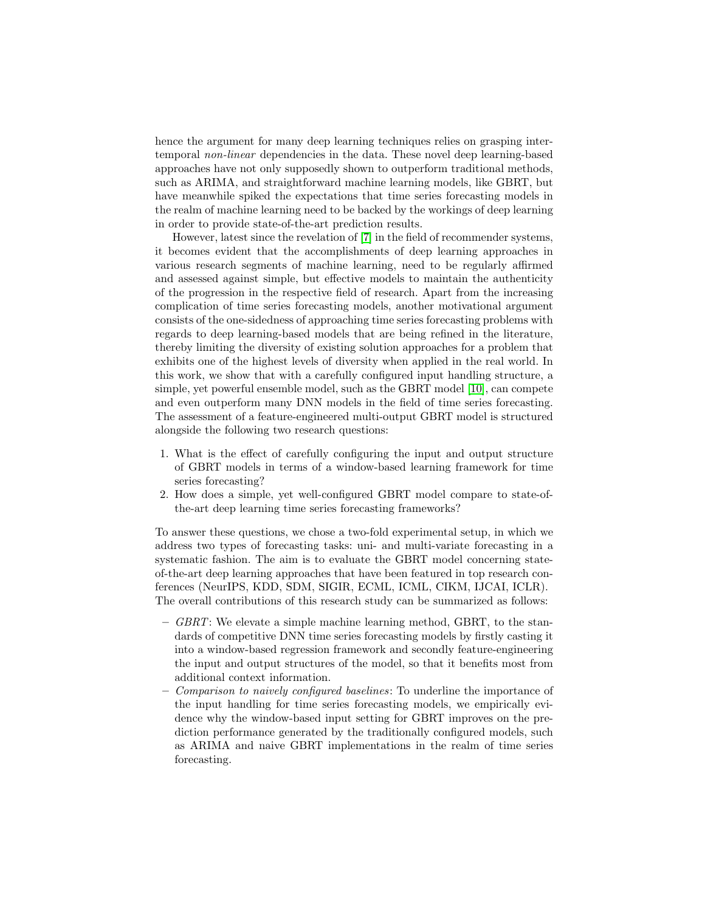hence the argument for many deep learning techniques relies on grasping intertemporal non-linear dependencies in the data. These novel deep learning-based approaches have not only supposedly shown to outperform traditional methods, such as ARIMA, and straightforward machine learning models, like GBRT, but have meanwhile spiked the expectations that time series forecasting models in the realm of machine learning need to be backed by the workings of deep learning in order to provide state-of-the-art prediction results.

However, latest since the revelation of [\[7\]](#page-14-1) in the field of recommender systems, it becomes evident that the accomplishments of deep learning approaches in various research segments of machine learning, need to be regularly affirmed and assessed against simple, but effective models to maintain the authenticity of the progression in the respective field of research. Apart from the increasing complication of time series forecasting models, another motivational argument consists of the one-sidedness of approaching time series forecasting problems with regards to deep learning-based models that are being refined in the literature, thereby limiting the diversity of existing solution approaches for a problem that exhibits one of the highest levels of diversity when applied in the real world. In this work, we show that with a carefully configured input handling structure, a simple, yet powerful ensemble model, such as the GBRT model [\[10\]](#page-14-2), can compete and even outperform many DNN models in the field of time series forecasting. The assessment of a feature-engineered multi-output GBRT model is structured alongside the following two research questions:

- 1. What is the effect of carefully configuring the input and output structure of GBRT models in terms of a window-based learning framework for time series forecasting?
- 2. How does a simple, yet well-configured GBRT model compare to state-ofthe-art deep learning time series forecasting frameworks?

To answer these questions, we chose a two-fold experimental setup, in which we address two types of forecasting tasks: uni- and multi-variate forecasting in a systematic fashion. The aim is to evaluate the GBRT model concerning stateof-the-art deep learning approaches that have been featured in top research conferences (NeurIPS, KDD, SDM, SIGIR, ECML, ICML, CIKM, IJCAI, ICLR). The overall contributions of this research study can be summarized as follows:

- $-$  GBRT: We elevate a simple machine learning method, GBRT, to the standards of competitive DNN time series forecasting models by firstly casting it into a window-based regression framework and secondly feature-engineering the input and output structures of the model, so that it benefits most from additional context information.
- Comparison to naively configured baselines: To underline the importance of the input handling for time series forecasting models, we empirically evidence why the window-based input setting for GBRT improves on the prediction performance generated by the traditionally configured models, such as ARIMA and naive GBRT implementations in the realm of time series forecasting.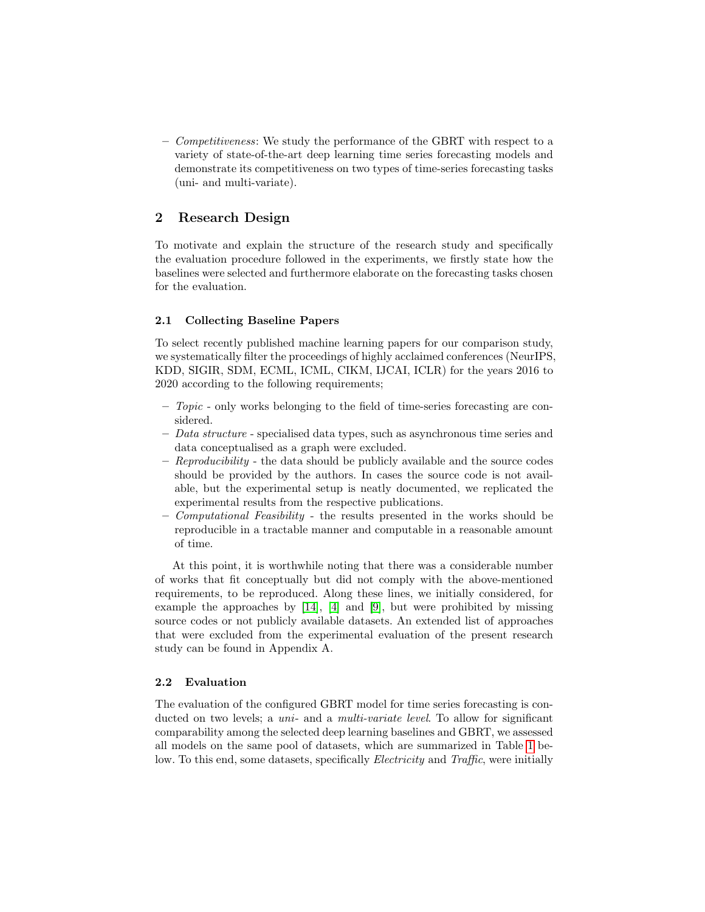– Competitiveness: We study the performance of the GBRT with respect to a variety of state-of-the-art deep learning time series forecasting models and demonstrate its competitiveness on two types of time-series forecasting tasks (uni- and multi-variate).

### 2 Research Design

To motivate and explain the structure of the research study and specifically the evaluation procedure followed in the experiments, we firstly state how the baselines were selected and furthermore elaborate on the forecasting tasks chosen for the evaluation.

### 2.1 Collecting Baseline Papers

To select recently published machine learning papers for our comparison study, we systematically filter the proceedings of highly acclaimed conferences (NeurIPS, KDD, SIGIR, SDM, ECML, ICML, CIKM, IJCAI, ICLR) for the years 2016 to 2020 according to the following requirements;

- Topic only works belonging to the field of time-series forecasting are considered.
- $-$  Data structure specialised data types, such as asynchronous time series and data conceptualised as a graph were excluded.
- $-$  Reproducibility the data should be publicly available and the source codes should be provided by the authors. In cases the source code is not available, but the experimental setup is neatly documented, we replicated the experimental results from the respective publications.
- $\sim$  Computational Feasibility the results presented in the works should be reproducible in a tractable manner and computable in a reasonable amount of time.

At this point, it is worthwhile noting that there was a considerable number of works that fit conceptually but did not comply with the above-mentioned requirements, to be reproduced. Along these lines, we initially considered, for example the approaches by [\[14\]](#page-14-3), [\[4\]](#page-14-4) and [\[9\]](#page-14-5), but were prohibited by missing source codes or not publicly available datasets. An extended list of approaches that were excluded from the experimental evaluation of the present research study can be found in Appendix A.

### 2.2 Evaluation

The evaluation of the configured GBRT model for time series forecasting is conducted on two levels; a *uni-* and a *multi-variate level*. To allow for significant comparability among the selected deep learning baselines and GBRT, we assessed all models on the same pool of datasets, which are summarized in Table [1](#page-3-0) below. To this end, some datasets, specifically *Electricity* and *Traffic*, were initially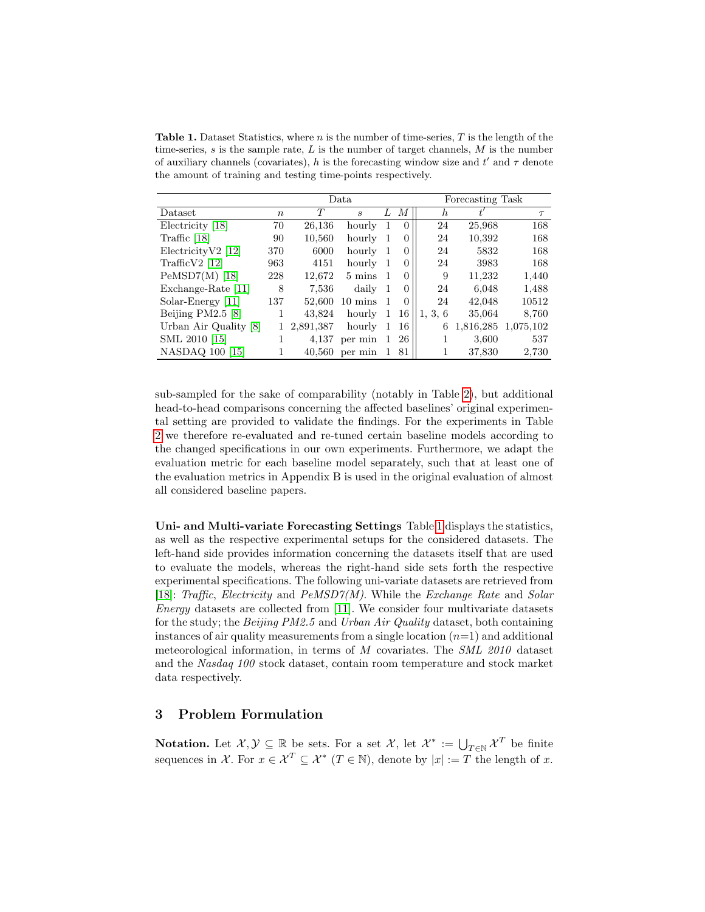<span id="page-3-0"></span>**Table 1.** Dataset Statistics, where n is the number of time-series,  $T$  is the length of the time-series, s is the sample rate,  $L$  is the number of target channels,  $M$  is the number of auxiliary channels (covariates), h is the forecasting window size and  $t'$  and  $\tau$  denote the amount of training and testing time-points respectively.

|                       |                  |           | Data.                       |    | Forecasting Task |                  |           |           |
|-----------------------|------------------|-----------|-----------------------------|----|------------------|------------------|-----------|-----------|
| Dataset               | $\boldsymbol{n}$ | T         | $\mathcal{S}_{\mathcal{S}}$ | L  | М                | $\boldsymbol{h}$ |           | $\tau$    |
| Electricity [18]      | 70               | 26,136    | hourly                      | 1  | $\Omega$         | 24               | 25,968    | 168       |
| Traffic $[18]$        | 90               | 10,560    | hourly                      | 1  | $\Omega$         | 24               | 10,392    | 168       |
| $ElectricityV2$ [12]  | 370              | 6000      | hourly                      | -1 | $\theta$         | 24               | 5832      | 168       |
| Traffic $V2$ [12]     | 963              | 4151      | hourly                      | 1  | $\left( \right)$ | 24               | 3983      | 168       |
| $PeMSD7(M)$ [18]      | 228              | 12,672    | 5 mins                      | -1 | $\Omega$         | 9                | 11,232    | 1,440     |
| Exchange-Rate [11]    | 8                | 7,536     | daily                       | -1 | $\Omega$         | 24               | 6,048     | 1,488     |
| Solar-Energy [11]     | 137              | 52,600    | $10 \text{ mins}$           |    | $\Omega$         | 24               | 42,048    | 10512     |
| Beijing $PM2.5$ [8]   |                  | 43.824    | hourly                      | 1  | 16               | 1, 3, 6          | 35,064    | 8,760     |
| Urban Air Quality [8] |                  | 2,891,387 | hourly                      | 1  | 16               | 6                | 1,816,285 | 1.075.102 |
| SML 2010 [15]         |                  | 4.137     | per min                     | 1  | 26               |                  | 3,600     | 537       |
| NASDAQ 100 [15]       |                  | 40,560    | per min                     |    | 81               |                  | 37,830    | 2.730     |

sub-sampled for the sake of comparability (notably in Table [2\)](#page-8-0), but additional head-to-head comparisons concerning the affected baselines' original experimental setting are provided to validate the findings. For the experiments in Table [2](#page-8-0) we therefore re-evaluated and re-tuned certain baseline models according to the changed specifications in our own experiments. Furthermore, we adapt the evaluation metric for each baseline model separately, such that at least one of the evaluation metrics in Appendix B is used in the original evaluation of almost all considered baseline papers.

Uni- and Multi-variate Forecasting Settings Table [1](#page-3-0) displays the statistics, as well as the respective experimental setups for the considered datasets. The left-hand side provides information concerning the datasets itself that are used to evaluate the models, whereas the right-hand side sets forth the respective experimental specifications. The following uni-variate datasets are retrieved from [\[18\]](#page-15-0): Traffic, Electricity and  $PeMSD7(M)$ . While the Exchange Rate and Solar Energy datasets are collected from [\[11\]](#page-14-0). We consider four multivariate datasets for the study; the Beijing PM2.5 and Urban Air Quality dataset, both containing instances of air quality measurements from a single location  $(n=1)$  and additional meteorological information, in terms of M covariates. The  $SML$  2010 dataset and the Nasdaq 100 stock dataset, contain room temperature and stock market data respectively.

## 3 Problem Formulation

**Notation.** Let  $\mathcal{X}, \mathcal{Y} \subseteq \mathbb{R}$  be sets. For a set  $\mathcal{X}$ , let  $\mathcal{X}^* := \bigcup_{T \in \mathbb{N}} \mathcal{X}^T$  be finite sequences in X. For  $x \in \mathcal{X}^T \subseteq \mathcal{X}^*$   $(T \in \mathbb{N})$ , denote by  $|x| := T$  the length of x.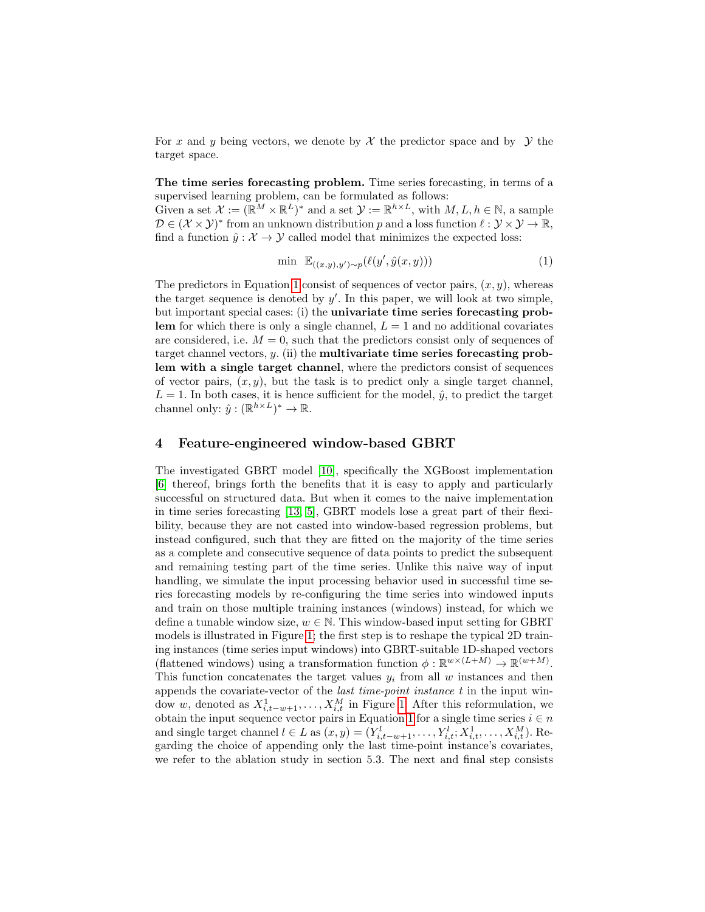For x and y being vectors, we denote by  $\mathcal X$  the predictor space and by  $\mathcal Y$  the target space.

The time series forecasting problem. Time series forecasting, in terms of a supervised learning problem, can be formulated as follows:

Given a set  $\mathcal{X} := (\mathbb{R}^M \times \mathbb{R}^L)^*$  and a set  $\mathcal{Y} := \mathbb{R}^{h \times L}$ , with  $M, L, h \in \mathbb{N}$ , a sample  $\mathcal{D} \in (\mathcal{X} \times \mathcal{Y})^*$  from an unknown distribution p and a loss function  $\ell : \mathcal{Y} \times \mathcal{Y} \to \mathbb{R}$ , find a function  $\hat{y}: \mathcal{X} \to \mathcal{Y}$  called model that minimizes the expected loss:

<span id="page-4-0"></span>
$$
\min \mathbb{E}_{((x,y),y') \sim p}(\ell(y',\hat{y}(x,y))) \tag{1}
$$

The predictors in Equation [1](#page-4-0) consist of sequences of vector pairs,  $(x, y)$ , whereas the target sequence is denoted by  $y'$ . In this paper, we will look at two simple, but important special cases: (i) the univariate time series forecasting problem for which there is only a single channel,  $L = 1$  and no additional covariates are considered, i.e.  $M = 0$ , such that the predictors consist only of sequences of target channel vectors,  $y$ . (ii) the **multivariate time series forecasting prob**lem with a single target channel, where the predictors consist of sequences of vector pairs,  $(x, y)$ , but the task is to predict only a single target channel,  $L = 1$ . In both cases, it is hence sufficient for the model,  $\hat{y}$ , to predict the target channel only:  $\hat{y} : (\mathbb{R}^{h \times L})^* \to \mathbb{R}$ .

### 4 Feature-engineered window-based GBRT

The investigated GBRT model [\[10\]](#page-14-2), specifically the XGBoost implementation [\[6\]](#page-14-8) thereof, brings forth the benefits that it is easy to apply and particularly successful on structured data. But when it comes to the naive implementation in time series forecasting [\[13,](#page-14-9) [5\]](#page-14-10), GBRT models lose a great part of their flexibility, because they are not casted into window-based regression problems, but instead configured, such that they are fitted on the majority of the time series as a complete and consecutive sequence of data points to predict the subsequent and remaining testing part of the time series. Unlike this naive way of input handling, we simulate the input processing behavior used in successful time series forecasting models by re-configuring the time series into windowed inputs and train on those multiple training instances (windows) instead, for which we define a tunable window size,  $w \in \mathbb{N}$ . This window-based input setting for GBRT models is illustrated in Figure [1;](#page-5-0) the first step is to reshape the typical 2D training instances (time series input windows) into GBRT-suitable 1D-shaped vectors (flattened windows) using a transformation function  $\phi : \mathbb{R}^{w \times (L+M)} \to \mathbb{R}^{(w+M)}$ . This function concatenates the target values  $y_i$  from all w instances and then appends the covariate-vector of the last time-point instance t in the input window w, denoted as  $X_{i,t-w+1}^1, \ldots, X_{i,t}^M$  in Figure [1.](#page-5-0) After this reformulation, we obtain the input sequence vector pairs in Equation [1](#page-4-0) for a single time series  $i \in n$ and single target channel  $l \in L$  as  $(x, y) = (Y_{i,t-w+1}^l, \ldots, Y_{i,t}^l; X_{i,t}^1, \ldots, X_{i,t}^M)$ . Regarding the choice of appending only the last time-point instance's covariates, we refer to the ablation study in section 5.3. The next and final step consists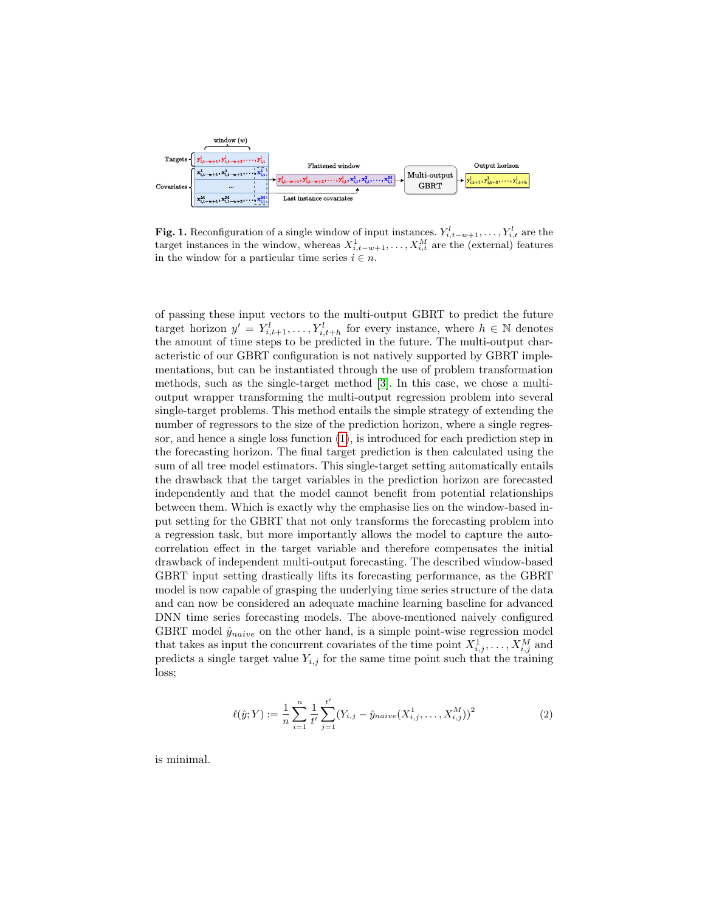

<span id="page-5-0"></span>**Fig. 1.** Reconfiguration of a single window of input instances.  $Y_{i,t-w+1}^l, \ldots, Y_{i,t}^l$  are the target instances in the window, whereas  $X_{i,t-w+1}^1, \ldots, X_{i,t}^M$  are the (external) features in the window for a particular time series  $i \in n$ .

of passing these input vectors to the multi-output GBRT to predict the future target horizon  $y' = Y_{i,t+1}^l, \ldots, Y_{i,t+h}^l$  for every instance, where  $h \in \mathbb{N}$  denotes the amount of time steps to be predicted in the future. The multi-output characteristic of our GBRT configuration is not natively supported by GBRT implementations, but can be instantiated through the use of problem transformation methods, such as the single-target method [\[3\]](#page-14-11). In this case, we chose a multioutput wrapper transforming the multi-output regression problem into several single-target problems. This method entails the simple strategy of extending the number of regressors to the size of the prediction horizon, where a single regressor, and hence a single loss function [\(1\)](#page-4-0), is introduced for each prediction step in the forecasting horizon. The final target prediction is then calculated using the sum of all tree model estimators. This single-target setting automatically entails the drawback that the target variables in the prediction horizon are forecasted independently and that the model cannot benefit from potential relationships between them. Which is exactly why the emphasise lies on the window-based input setting for the GBRT that not only transforms the forecasting problem into a regression task, but more importantly allows the model to capture the autocorrelation effect in the target variable and therefore compensates the initial drawback of independent multi-output forecasting. The described window-based GBRT input setting drastically lifts its forecasting performance, as the GBRT model is now capable of grasping the underlying time series structure of the data and can now be considered an adequate machine learning baseline for advanced DNN time series forecasting models. The above-mentioned naively configured GBRT model  $\hat{y}_{naive}$  on the other hand, is a simple point-wise regression model that takes as input the concurrent covariates of the time point  $X_{i,j}^1, \ldots, X_{i,j}^M$  and predicts a single target value  $Y_{i,j}$  for the same time point such that the training loss;

$$
\ell(\hat{y}; Y) := \frac{1}{n} \sum_{i=1}^{n} \frac{1}{t'} \sum_{j=1}^{t'} (Y_{i,j} - \hat{y}_{naive}(X_{i,j}^1, \dots, X_{i,j}^M))^2
$$
(2)

is minimal.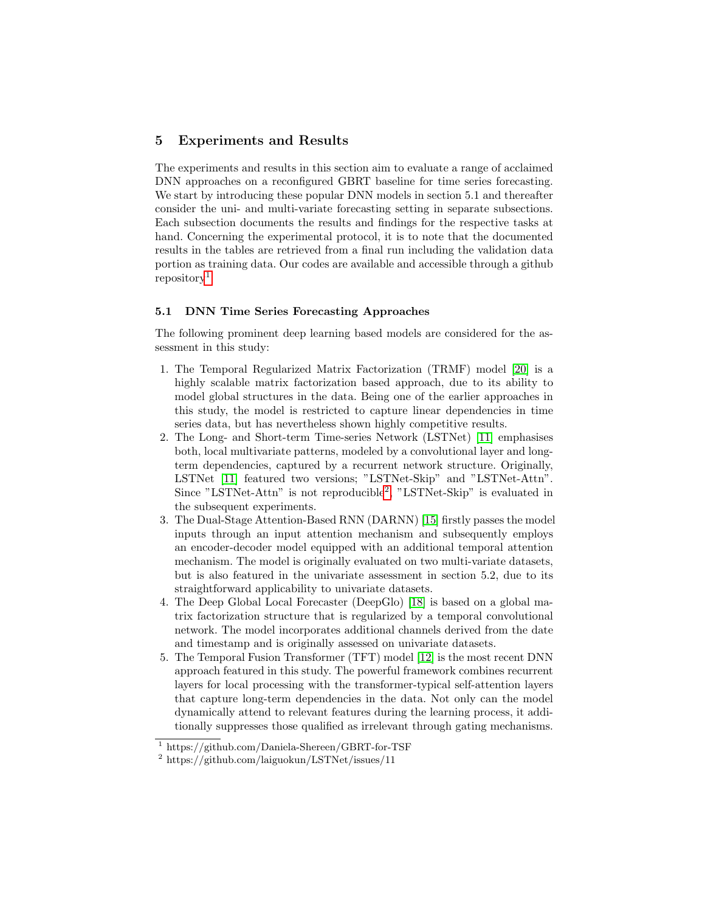### 5 Experiments and Results

The experiments and results in this section aim to evaluate a range of acclaimed DNN approaches on a reconfigured GBRT baseline for time series forecasting. We start by introducing these popular DNN models in section 5.1 and thereafter consider the uni- and multi-variate forecasting setting in separate subsections. Each subsection documents the results and findings for the respective tasks at hand. Concerning the experimental protocol, it is to note that the documented results in the tables are retrieved from a final run including the validation data portion as training data. Our codes are available and accessible through a github  $repository<sup>1</sup>$  $repository<sup>1</sup>$  $repository<sup>1</sup>$ .

### 5.1 DNN Time Series Forecasting Approaches

The following prominent deep learning based models are considered for the assessment in this study:

- 1. The Temporal Regularized Matrix Factorization (TRMF) model [\[20\]](#page-15-2) is a highly scalable matrix factorization based approach, due to its ability to model global structures in the data. Being one of the earlier approaches in this study, the model is restricted to capture linear dependencies in time series data, but has nevertheless shown highly competitive results.
- 2. The Long- and Short-term Time-series Network (LSTNet) [\[11\]](#page-14-0) emphasises both, local multivariate patterns, modeled by a convolutional layer and longterm dependencies, captured by a recurrent network structure. Originally, LSTNet [\[11\]](#page-14-0) featured two versions; "LSTNet-Skip" and "LSTNet-Attn". Since "LSTNet-Attn" is not reproducible<sup>[2](#page-6-1)</sup>, "LSTNet-Skip" is evaluated in the subsequent experiments.
- 3. The Dual-Stage Attention-Based RNN (DARNN) [\[15\]](#page-15-1) firstly passes the model inputs through an input attention mechanism and subsequently employs an encoder-decoder model equipped with an additional temporal attention mechanism. The model is originally evaluated on two multi-variate datasets, but is also featured in the univariate assessment in section 5.2, due to its straightforward applicability to univariate datasets.
- 4. The Deep Global Local Forecaster (DeepGlo) [\[18\]](#page-15-0) is based on a global matrix factorization structure that is regularized by a temporal convolutional network. The model incorporates additional channels derived from the date and timestamp and is originally assessed on univariate datasets.
- 5. The Temporal Fusion Transformer (TFT) model [\[12\]](#page-14-6) is the most recent DNN approach featured in this study. The powerful framework combines recurrent layers for local processing with the transformer-typical self-attention layers that capture long-term dependencies in the data. Not only can the model dynamically attend to relevant features during the learning process, it additionally suppresses those qualified as irrelevant through gating mechanisms.

<span id="page-6-0"></span> $1 \text{ https://github.com/Daniela-Shereen/GBRT-for-TSF}$ 

<span id="page-6-1"></span><sup>2</sup> https://github.com/laiguokun/LSTNet/issues/11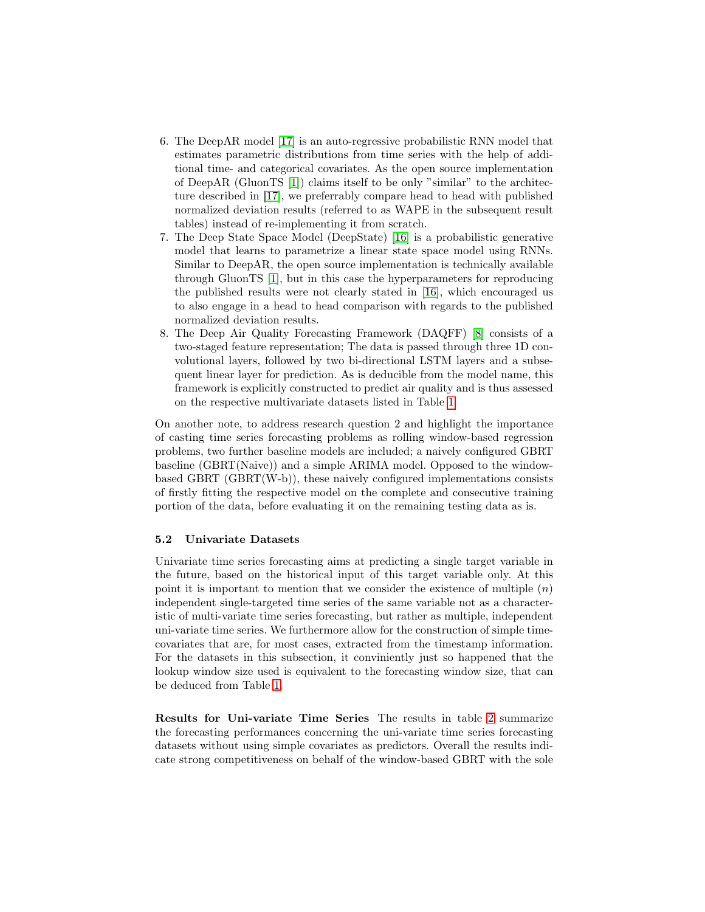- 6. The DeepAR model [\[17\]](#page-15-3) is an auto-regressive probabilistic RNN model that estimates parametric distributions from time series with the help of additional time- and categorical covariates. As the open source implementation of DeepAR (GluonTS [\[1\]](#page-14-12)) claims itself to be only "similar" to the architecture described in [\[17\]](#page-15-3), we preferrably compare head to head with published normalized deviation results (referred to as WAPE in the subsequent result tables) instead of re-implementing it from scratch.
- 7. The Deep State Space Model (DeepState) [\[16\]](#page-15-4) is a probabilistic generative model that learns to parametrize a linear state space model using RNNs. Similar to DeepAR, the open source implementation is technically available through GluonTS [\[1\]](#page-14-12), but in this case the hyperparameters for reproducing the published results were not clearly stated in [\[16\]](#page-15-4), which encouraged us to also engage in a head to head comparison with regards to the published normalized deviation results.
- 8. The Deep Air Quality Forecasting Framework (DAQFF) [\[8\]](#page-14-7) consists of a two-staged feature representation; The data is passed through three 1D convolutional layers, followed by two bi-directional LSTM layers and a subsequent linear layer for prediction. As is deducible from the model name, this framework is explicitly constructed to predict air quality and is thus assessed on the respective multivariate datasets listed in Table [1.](#page-3-0)

On another note, to address research question 2 and highlight the importance of casting time series forecasting problems as rolling window-based regression problems, two further baseline models are included; a naively configured GBRT baseline (GBRT(Naive)) and a simple ARIMA model. Opposed to the windowbased GBRT (GBRT(W-b)), these naively configured implementations consists of firstly fitting the respective model on the complete and consecutive training portion of the data, before evaluating it on the remaining testing data as is.

#### 5.2 Univariate Datasets

Univariate time series forecasting aims at predicting a single target variable in the future, based on the historical input of this target variable only. At this point it is important to mention that we consider the existence of multiple  $(n)$ independent single-targeted time series of the same variable not as a characteristic of multi-variate time series forecasting, but rather as multiple, independent uni-variate time series. We furthermore allow for the construction of simple timecovariates that are, for most cases, extracted from the timestamp information. For the datasets in this subsection, it conviniently just so happened that the lookup window size used is equivalent to the forecasting window size, that can be deduced from Table [1.](#page-3-0)

Results for Uni-variate Time Series The results in table [2](#page-8-0) summarize the forecasting performances concerning the uni-variate time series forecasting datasets without using simple covariates as predictors. Overall the results indicate strong competitiveness on behalf of the window-based GBRT with the sole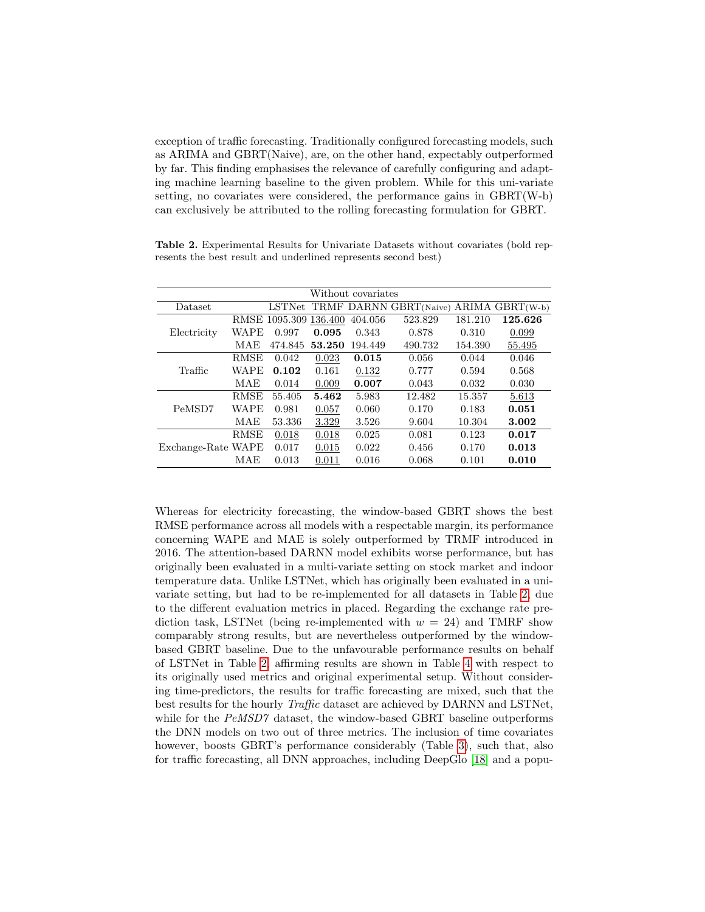exception of traffic forecasting. Traditionally configured forecasting models, such as ARIMA and GBRT(Naive), are, on the other hand, expectably outperformed by far. This finding emphasises the relevance of carefully configuring and adapting machine learning baseline to the given problem. While for this uni-variate setting, no covariates were considered, the performance gains in GBRT(W-b) can exclusively be attributed to the rolling forecasting formulation for GBRT.

|                    |             |                       |        | Without covariates |                                        |         |         |
|--------------------|-------------|-----------------------|--------|--------------------|----------------------------------------|---------|---------|
| Dataset            |             | LSTNet                |        |                    | TRMF DARNN GBRT(Naive) ARIMA GBRT(W-b) |         |         |
|                    |             | RMSE 1095.309 136.400 |        | 404.056            | 523.829                                | 181.210 | 125.626 |
| Electricity        | WAPE        | 0.997                 | 0.095  | 0.343              | 0.878                                  | 0.310   | 0.099   |
|                    | MAE         | 474.845               | 53.250 | 194.449            | 490.732                                | 154.390 | 55.495  |
|                    | RMSE        | 0.042                 | 0.023  | 0.015              | 0.056                                  | 0.044   | 0.046   |
| Traffic            | WAPE        | 0.102                 | 0.161  | 0.132              | 0.777                                  | 0.594   | 0.568   |
|                    | MAE         | 0.014                 | 0.009  | 0.007              | 0.043                                  | 0.032   | 0.030   |
|                    | RMSE        | 55.405                | 5.462  | 5.983              | 12.482                                 | 15.357  | 5.613   |
| PeMSD7             | WAPE        | 0.981                 | 0.057  | 0.060              | 0.170                                  | 0.183   | 0.051   |
|                    | MAE         | 53.336                | 3.329  | 3.526              | 9.604                                  | 10.304  | 3.002   |
|                    | <b>RMSE</b> | 0.018                 | 0.018  | 0.025              | 0.081                                  | 0.123   | 0.017   |
| Exchange-Rate WAPE |             | 0.017                 | 0.015  | 0.022              | 0.456                                  | 0.170   | 0.013   |
|                    | MAE         | 0.013                 | 0.011  | 0.016              | 0.068                                  | 0.101   | 0.010   |

<span id="page-8-0"></span>Table 2. Experimental Results for Univariate Datasets without covariates (bold represents the best result and underlined represents second best)

Whereas for electricity forecasting, the window-based GBRT shows the best RMSE performance across all models with a respectable margin, its performance concerning WAPE and MAE is solely outperformed by TRMF introduced in 2016. The attention-based DARNN model exhibits worse performance, but has originally been evaluated in a multi-variate setting on stock market and indoor temperature data. Unlike LSTNet, which has originally been evaluated in a univariate setting, but had to be re-implemented for all datasets in Table [2,](#page-8-0) due to the different evaluation metrics in placed. Regarding the exchange rate prediction task, LSTNet (being re-implemented with  $w = 24$ ) and TMRF show comparably strong results, but are nevertheless outperformed by the windowbased GBRT baseline. Due to the unfavourable performance results on behalf of LSTNet in Table [2,](#page-8-0) affirming results are shown in Table [4](#page-10-0) with respect to its originally used metrics and original experimental setup. Without considering time-predictors, the results for traffic forecasting are mixed, such that the best results for the hourly Traffic dataset are achieved by DARNN and LSTNet, while for the PeMSD7 dataset, the window-based GBRT baseline outperforms the DNN models on two out of three metrics. The inclusion of time covariates however, boosts GBRT's performance considerably (Table [3\)](#page-9-0), such that, also for traffic forecasting, all DNN approaches, including DeepGlo [\[18\]](#page-15-0) and a popu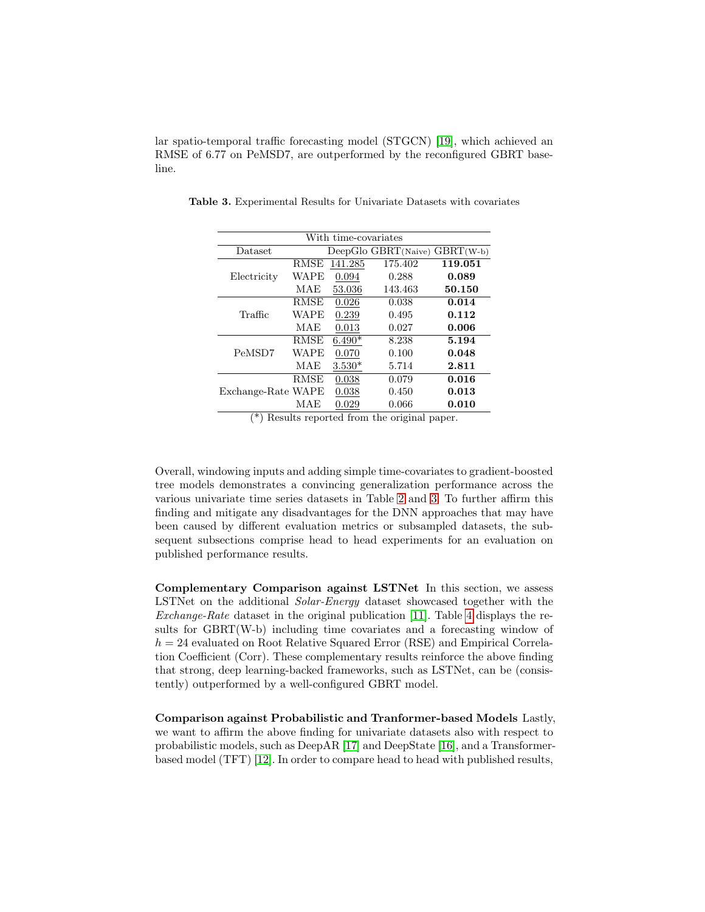lar spatio-temporal traffic forecasting model (STGCN) [\[19\]](#page-15-5), which achieved an RMSE of 6.77 on PeMSD7, are outperformed by the reconfigured GBRT baseline.

<span id="page-9-0"></span>

| With time-covariates |             |          |                                   |         |  |  |  |  |
|----------------------|-------------|----------|-----------------------------------|---------|--|--|--|--|
| Dataset              |             |          | DeepGlo $GBRT(Naive)$ $GBRT(W-b)$ |         |  |  |  |  |
|                      | <b>RMSE</b> | 141.285  | 175.402                           | 119.051 |  |  |  |  |
| Electricity          | WAPE        | 0.094    | 0.288                             | 0.089   |  |  |  |  |
|                      | MAE         | 53.036   | 143.463                           | 50.150  |  |  |  |  |
|                      | <b>RMSE</b> | 0.026    | 0.038                             | 0.014   |  |  |  |  |
| Traffic              | WAPE        | 0.239    | 0.495                             | 0.112   |  |  |  |  |
|                      | MAE         | 0.013    | 0.027                             | 0.006   |  |  |  |  |
|                      | <b>RMSE</b> | $6.490*$ | 8.238                             | 5.194   |  |  |  |  |
| PeMSD7               | WAPE        | 0.070    | 0.100                             | 0.048   |  |  |  |  |
|                      | MAE         | $3.530*$ | 5.714                             | 2.811   |  |  |  |  |
|                      | <b>RMSE</b> | 0.038    | 0.079                             | 0.016   |  |  |  |  |
| Exchange-Rate WAPE   |             | 0.038    | 0.450                             | 0.013   |  |  |  |  |
|                      | MAE         | 0.029    | 0.066                             | 0.010   |  |  |  |  |

Table 3. Experimental Results for Univariate Datasets with covariates

(\*) Results reported from the original paper.

Overall, windowing inputs and adding simple time-covariates to gradient-boosted tree models demonstrates a convincing generalization performance across the various univariate time series datasets in Table [2](#page-8-0) and [3.](#page-9-0) To further affirm this finding and mitigate any disadvantages for the DNN approaches that may have been caused by different evaluation metrics or subsampled datasets, the subsequent subsections comprise head to head experiments for an evaluation on published performance results.

Complementary Comparison against LSTNet In this section, we assess LSTNet on the additional Solar-Energy dataset showcased together with the Exchange-Rate dataset in the original publication [\[11\]](#page-14-0). Table [4](#page-10-0) displays the results for GBRT(W-b) including time covariates and a forecasting window of  $h = 24$  evaluated on Root Relative Squared Error (RSE) and Empirical Correlation Coefficient (Corr). These complementary results reinforce the above finding that strong, deep learning-backed frameworks, such as LSTNet, can be (consistently) outperformed by a well-configured GBRT model.

Comparison against Probabilistic and Tranformer-based Models Lastly, we want to affirm the above finding for univariate datasets also with respect to probabilistic models, such as DeepAR [\[17\]](#page-15-3) and DeepState [\[16\]](#page-15-4), and a Transformerbased model (TFT) [\[12\]](#page-14-6). In order to compare head to head with published results,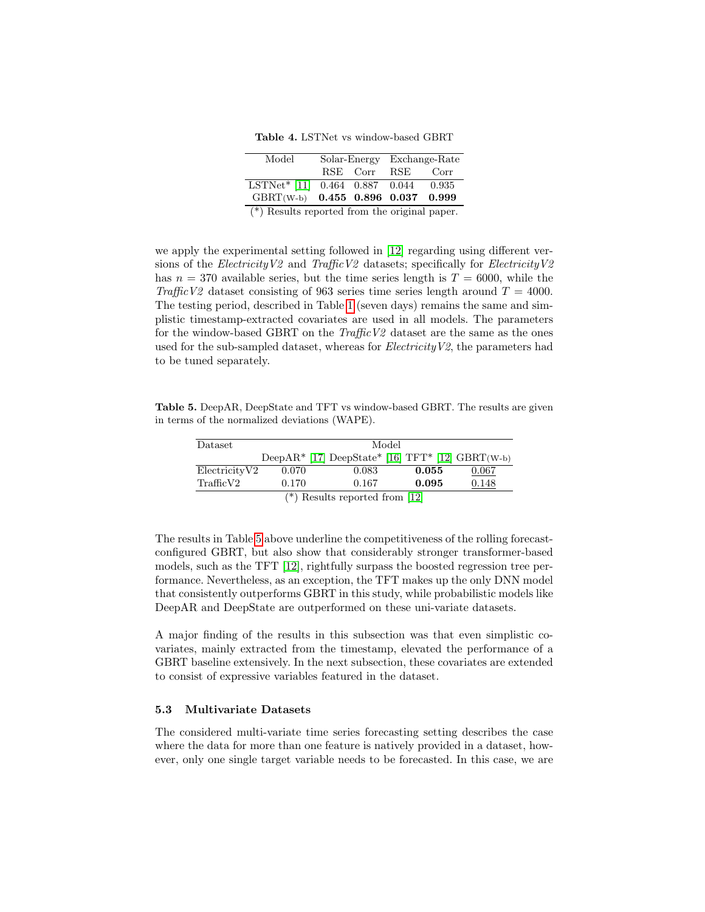<span id="page-10-0"></span>Table 4. LSTNet vs window-based GBRT

| Model                                           |          | Solar-Energy | Exchange-Rate |       |  |  |  |  |
|-------------------------------------------------|----------|--------------|---------------|-------|--|--|--|--|
|                                                 | RSE Corr |              | <b>RSE</b>    | Corr  |  |  |  |  |
| LSTNet* [11] 0.464 0.887 0.044                  |          |              |               | 0.935 |  |  |  |  |
| GBRT(W-b) 0.455 0.896 0.037 0.999               |          |              |               |       |  |  |  |  |
| $(*)$ Results reported from the original paper. |          |              |               |       |  |  |  |  |

we apply the experimental setting followed in [\[12\]](#page-14-6) regarding using different versions of the Electricity V2 and Traffic V2 datasets; specifically for Electricity V2 has  $n = 370$  available series, but the time series length is  $T = 6000$ , while the Traffic V2 dataset consisting of 963 series time series length around  $T = 4000$ . The testing period, described in Table [1](#page-3-0) (seven days) remains the same and simplistic timestamp-extracted covariates are used in all models. The parameters for the window-based GBRT on the  $TrafficV2$  dataset are the same as the ones used for the sub-sampled dataset, whereas for  $ElectricityV2$ , the parameters had to be tuned separately.

Table 5. DeepAR, DeepState and TFT vs window-based GBRT. The results are given in terms of the normalized deviations (WAPE).

<span id="page-10-1"></span>

| Dataset                          | Model |       |                                                    |       |  |  |  |  |  |  |
|----------------------------------|-------|-------|----------------------------------------------------|-------|--|--|--|--|--|--|
|                                  |       |       | DeepAR* [17] DeepState* [16] $TFT*$ [12] GBRT(W-b) |       |  |  |  |  |  |  |
| ElectricityV2                    | 0.070 | 0.083 | 0.055                                              | 0.067 |  |  |  |  |  |  |
| TrafficV2                        | 0.170 | 0.167 | 0.095                                              | 0.148 |  |  |  |  |  |  |
| $(*)$ Results reported from [12] |       |       |                                                    |       |  |  |  |  |  |  |

The results in Table [5](#page-10-1) above underline the competitiveness of the rolling forecastconfigured GBRT, but also show that considerably stronger transformer-based models, such as the TFT [\[12\]](#page-14-6), rightfully surpass the boosted regression tree performance. Nevertheless, as an exception, the TFT makes up the only DNN model that consistently outperforms GBRT in this study, while probabilistic models like DeepAR and DeepState are outperformed on these uni-variate datasets.

A major finding of the results in this subsection was that even simplistic covariates, mainly extracted from the timestamp, elevated the performance of a GBRT baseline extensively. In the next subsection, these covariates are extended to consist of expressive variables featured in the dataset.

### 5.3 Multivariate Datasets

The considered multi-variate time series forecasting setting describes the case where the data for more than one feature is natively provided in a dataset, however, only one single target variable needs to be forecasted. In this case, we are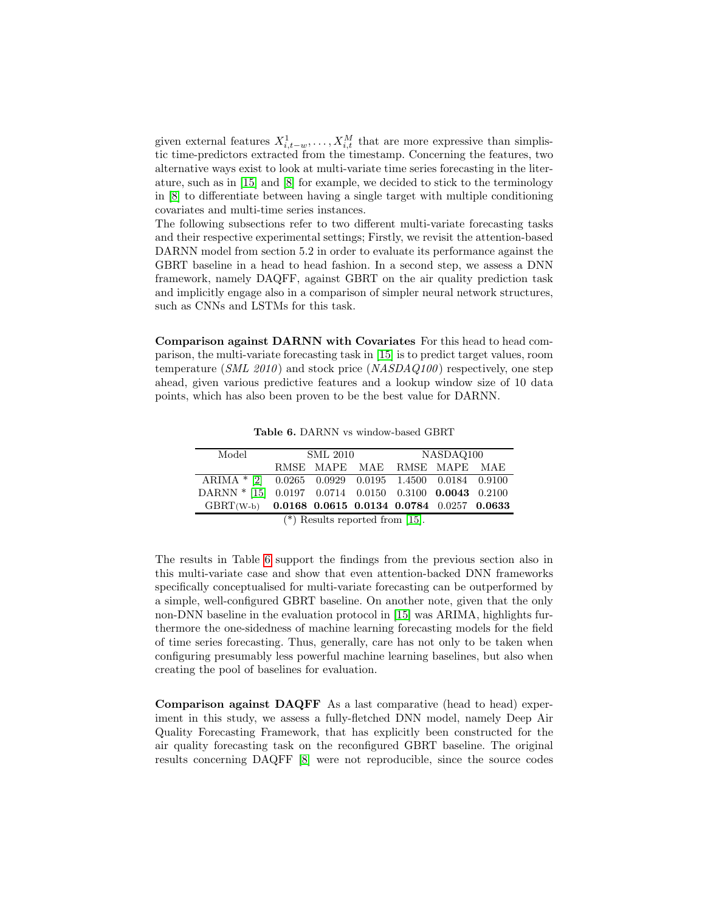given external features  $X_{i,t-w}^1, \ldots, X_{i,t}^M$  that are more expressive than simplistic time-predictors extracted from the timestamp. Concerning the features, two alternative ways exist to look at multi-variate time series forecasting in the literature, such as in [\[15\]](#page-15-1) and [\[8\]](#page-14-7) for example, we decided to stick to the terminology in [\[8\]](#page-14-7) to differentiate between having a single target with multiple conditioning covariates and multi-time series instances.

The following subsections refer to two different multi-variate forecasting tasks and their respective experimental settings; Firstly, we revisit the attention-based DARNN model from section 5.2 in order to evaluate its performance against the GBRT baseline in a head to head fashion. In a second step, we assess a DNN framework, namely DAQFF, against GBRT on the air quality prediction task and implicitly engage also in a comparison of simpler neural network structures, such as CNNs and LSTMs for this task.

Comparison against DARNN with Covariates For this head to head comparison, the multi-variate forecasting task in [\[15\]](#page-15-1) is to predict target values, room temperature ( $SML$  2010) and stock price ( $NASDAQ100$ ) respectively, one step ahead, given various predictive features and a lookup window size of 10 data points, which has also been proven to be the best value for DARNN.

| Model                                                                                                                                                                        | <b>SML 2010</b> |                                | NASDAQ100                   |  |  |
|------------------------------------------------------------------------------------------------------------------------------------------------------------------------------|-----------------|--------------------------------|-----------------------------|--|--|
|                                                                                                                                                                              |                 |                                | RMSE MAPE MAE RMSE MAPE MAE |  |  |
| $ARIMA$ * [2] 0.0265 0.0929 0.0195 1.4500 0.0184 0.9100                                                                                                                      |                 |                                |                             |  |  |
| $\text{DARNN} \ast \left[ 15 \right] \hspace{.2cm} 0.0197 \hspace{.2cm} 0.0714 \hspace{.2cm} 0.0150 \hspace{.2cm} 0.3100 \hspace{.2cm} \textbf{0.0043} \hspace{.2cm} 0.2100$ |                 |                                |                             |  |  |
| GBRT(W-b) 0.0168 0.0615 0.0134 0.0784 0.0257 0.0633                                                                                                                          |                 |                                |                             |  |  |
|                                                                                                                                                                              |                 | $\sqrt{4}$ n 1. 1. 1. $\theta$ | - Far ⊭ 1                   |  |  |

<span id="page-11-0"></span>Table 6. DARNN vs window-based GBRT

 $(*)$  Results reported from  $|15|$ .

The results in Table [6](#page-11-0) support the findings from the previous section also in this multi-variate case and show that even attention-backed DNN frameworks specifically conceptualised for multi-variate forecasting can be outperformed by a simple, well-configured GBRT baseline. On another note, given that the only non-DNN baseline in the evaluation protocol in [\[15\]](#page-15-1) was ARIMA, highlights furthermore the one-sidedness of machine learning forecasting models for the field of time series forecasting. Thus, generally, care has not only to be taken when configuring presumably less powerful machine learning baselines, but also when creating the pool of baselines for evaluation.

Comparison against DAQFF As a last comparative (head to head) experiment in this study, we assess a fully-fletched DNN model, namely Deep Air Quality Forecasting Framework, that has explicitly been constructed for the air quality forecasting task on the reconfigured GBRT baseline. The original results concerning DAQFF [\[8\]](#page-14-7) were not reproducible, since the source codes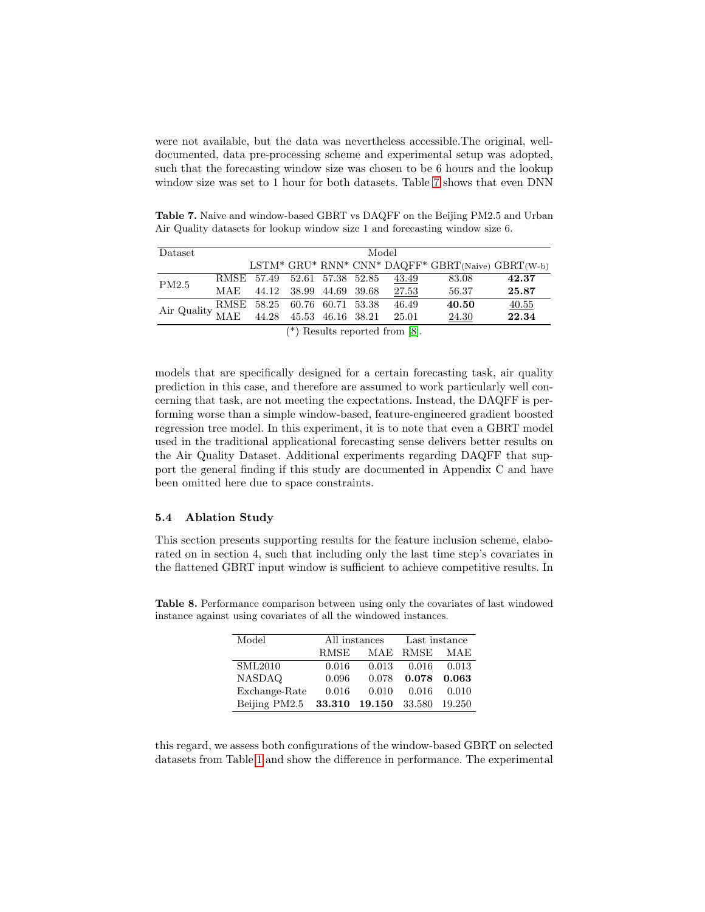were not available, but the data was nevertheless accessible.The original, welldocumented, data pre-processing scheme and experimental setup was adopted, such that the forecasting window size was chosen to be 6 hours and the lookup window size was set to 1 hour for both datasets. Table [7](#page-12-0) shows that even DNN

<span id="page-12-0"></span>Table 7. Naive and window-based GBRT vs DAQFF on the Beijing PM2.5 and Urban Air Quality datasets for lookup window size 1 and forecasting window size 6.

| Dataset                                                                 | Model |                              |  |  |  |       |                                                   |       |  |  |
|-------------------------------------------------------------------------|-------|------------------------------|--|--|--|-------|---------------------------------------------------|-------|--|--|
|                                                                         |       |                              |  |  |  |       | LSTM* GRU* RNN* CNN* DAQFF* GBRT(Naive) GBRT(W-b) |       |  |  |
| PM2.5                                                                   |       | RMSE 57.49 52.61 57.38 52.85 |  |  |  | 43.49 | 83.08                                             | 42.37 |  |  |
|                                                                         | MAE   | 44.12 38.99 44.69 39.68      |  |  |  | 27.53 | 56.37                                             | 25.87 |  |  |
| Air Quality RMSE 58.25 60.76 60.71 53.38<br>MAE 44.28 45.53 46.16 38.21 |       |                              |  |  |  | 46.49 | 40.50                                             | 40.55 |  |  |
|                                                                         |       | 44.28 45.53 46.16 38.21      |  |  |  | 25.01 | 24.30                                             | 22.34 |  |  |

<sup>(\*)</sup> Results reported from [\[8\]](#page-14-7).

models that are specifically designed for a certain forecasting task, air quality prediction in this case, and therefore are assumed to work particularly well concerning that task, are not meeting the expectations. Instead, the DAQFF is performing worse than a simple window-based, feature-engineered gradient boosted regression tree model. In this experiment, it is to note that even a GBRT model used in the traditional applicational forecasting sense delivers better results on the Air Quality Dataset. Additional experiments regarding DAQFF that support the general finding if this study are documented in Appendix C and have been omitted here due to space constraints.

#### 5.4 Ablation Study

This section presents supporting results for the feature inclusion scheme, elaborated on in section 4, such that including only the last time step's covariates in the flattened GBRT input window is sufficient to achieve competitive results. In

<span id="page-12-1"></span>

| Model         |        | All instances | Last instance |        |  |
|---------------|--------|---------------|---------------|--------|--|
|               | RMSE   |               | MAE RMSE      | MAE    |  |
| SML2010       | 0.016  | 0.013         | 0.016         | 0.013  |  |
| <b>NASDAQ</b> | 0.096  | 0.078         | 0.078         | 0.063  |  |
| Exchange-Rate | 0.016  | 0.010         | 0.016         | 0.010  |  |
| Beijing PM2.5 | 33.310 | 19.150 33.580 |               | 19.250 |  |

Table 8. Performance comparison between using only the covariates of last windowed instance against using covariates of all the windowed instances.

this regard, we assess both configurations of the window-based GBRT on selected datasets from Table [1](#page-3-0) and show the difference in performance. The experimental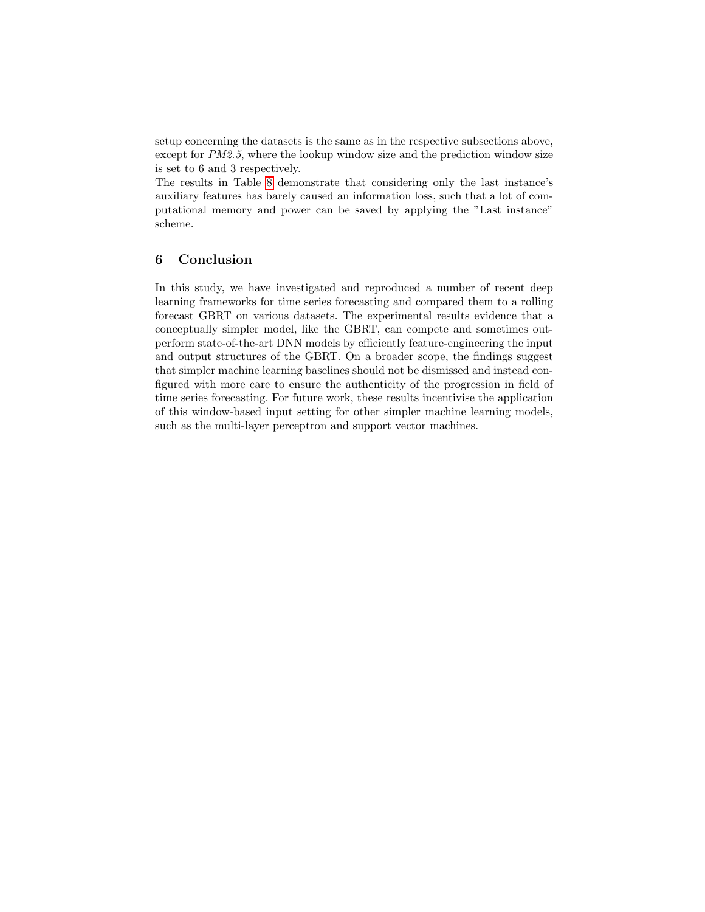setup concerning the datasets is the same as in the respective subsections above, except for  $PM2.5$ , where the lookup window size and the prediction window size is set to 6 and 3 respectively.

The results in Table [8](#page-12-1) demonstrate that considering only the last instance's auxiliary features has barely caused an information loss, such that a lot of computational memory and power can be saved by applying the "Last instance" scheme.

# 6 Conclusion

In this study, we have investigated and reproduced a number of recent deep learning frameworks for time series forecasting and compared them to a rolling forecast GBRT on various datasets. The experimental results evidence that a conceptually simpler model, like the GBRT, can compete and sometimes outperform state-of-the-art DNN models by efficiently feature-engineering the input and output structures of the GBRT. On a broader scope, the findings suggest that simpler machine learning baselines should not be dismissed and instead configured with more care to ensure the authenticity of the progression in field of time series forecasting. For future work, these results incentivise the application of this window-based input setting for other simpler machine learning models, such as the multi-layer perceptron and support vector machines.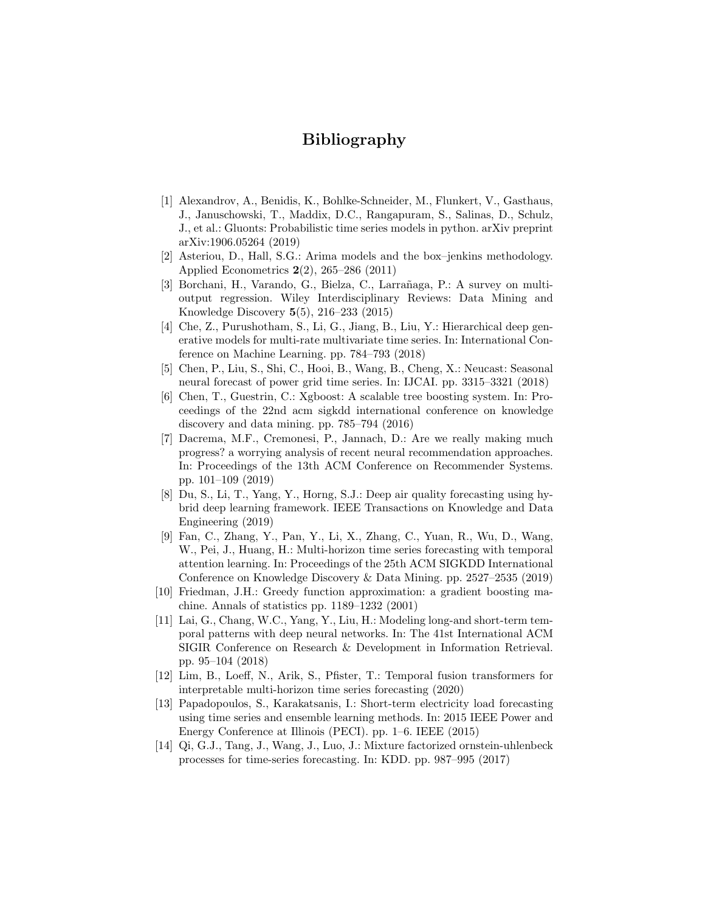# Bibliography

- <span id="page-14-12"></span>[1] Alexandrov, A., Benidis, K., Bohlke-Schneider, M., Flunkert, V., Gasthaus, J., Januschowski, T., Maddix, D.C., Rangapuram, S., Salinas, D., Schulz, J., et al.: Gluonts: Probabilistic time series models in python. arXiv preprint arXiv:1906.05264 (2019)
- <span id="page-14-13"></span>[2] Asteriou, D., Hall, S.G.: Arima models and the box–jenkins methodology. Applied Econometrics 2(2), 265–286 (2011)
- <span id="page-14-11"></span>[3] Borchani, H., Varando, G., Bielza, C., Larrañaga, P.: A survey on multioutput regression. Wiley Interdisciplinary Reviews: Data Mining and Knowledge Discovery 5(5), 216–233 (2015)
- <span id="page-14-4"></span>[4] Che, Z., Purushotham, S., Li, G., Jiang, B., Liu, Y.: Hierarchical deep generative models for multi-rate multivariate time series. In: International Conference on Machine Learning. pp. 784–793 (2018)
- <span id="page-14-10"></span>[5] Chen, P., Liu, S., Shi, C., Hooi, B., Wang, B., Cheng, X.: Neucast: Seasonal neural forecast of power grid time series. In: IJCAI. pp. 3315–3321 (2018)
- <span id="page-14-8"></span>[6] Chen, T., Guestrin, C.: Xgboost: A scalable tree boosting system. In: Proceedings of the 22nd acm sigkdd international conference on knowledge discovery and data mining. pp. 785–794 (2016)
- <span id="page-14-1"></span>[7] Dacrema, M.F., Cremonesi, P., Jannach, D.: Are we really making much progress? a worrying analysis of recent neural recommendation approaches. In: Proceedings of the 13th ACM Conference on Recommender Systems. pp. 101–109 (2019)
- <span id="page-14-7"></span>[8] Du, S., Li, T., Yang, Y., Horng, S.J.: Deep air quality forecasting using hybrid deep learning framework. IEEE Transactions on Knowledge and Data Engineering (2019)
- <span id="page-14-5"></span>[9] Fan, C., Zhang, Y., Pan, Y., Li, X., Zhang, C., Yuan, R., Wu, D., Wang, W., Pei, J., Huang, H.: Multi-horizon time series forecasting with temporal attention learning. In: Proceedings of the 25th ACM SIGKDD International Conference on Knowledge Discovery & Data Mining. pp. 2527–2535 (2019)
- <span id="page-14-2"></span>[10] Friedman, J.H.: Greedy function approximation: a gradient boosting machine. Annals of statistics pp. 1189–1232 (2001)
- <span id="page-14-0"></span>[11] Lai, G., Chang, W.C., Yang, Y., Liu, H.: Modeling long-and short-term temporal patterns with deep neural networks. In: The 41st International ACM SIGIR Conference on Research & Development in Information Retrieval. pp. 95–104 (2018)
- <span id="page-14-6"></span>[12] Lim, B., Loeff, N., Arik, S., Pfister, T.: Temporal fusion transformers for interpretable multi-horizon time series forecasting (2020)
- <span id="page-14-9"></span>[13] Papadopoulos, S., Karakatsanis, I.: Short-term electricity load forecasting using time series and ensemble learning methods. In: 2015 IEEE Power and Energy Conference at Illinois (PECI). pp. 1–6. IEEE (2015)
- <span id="page-14-3"></span>[14] Qi, G.J., Tang, J., Wang, J., Luo, J.: Mixture factorized ornstein-uhlenbeck processes for time-series forecasting. In: KDD. pp. 987–995 (2017)